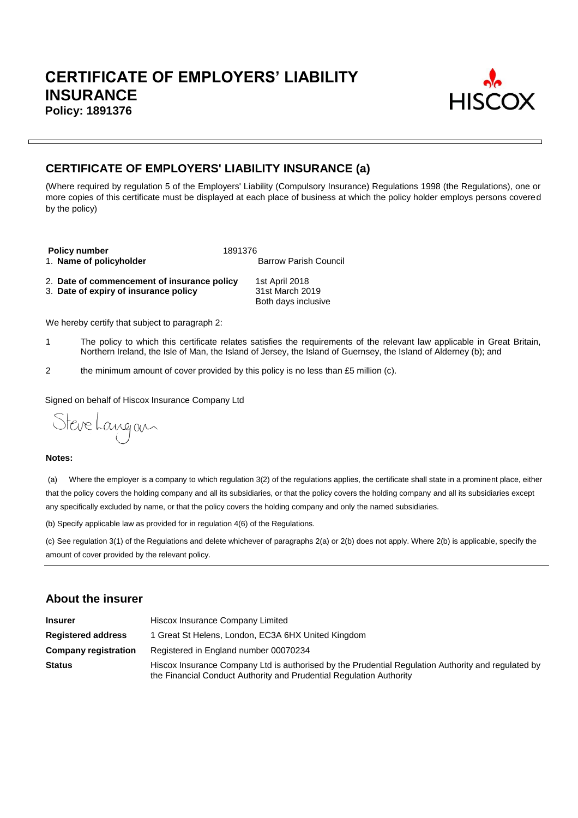

# **CERTIFICATE OF EMPLOYERS' LIABILITY INSURANCE (a)**

(Where required by regulation 5 of the Employers' Liability (Compulsory Insurance) Regulations 1998 (the Regulations), one or more copies of this certificate must be displayed at each place of business at which the policy holder employs persons covered by the policy)

**Policy number**<br>1. **Name of policyholder** 1. **Name of policyholder** 1. **Name of policyholder** 1. Name of policyholder

2. **Date of commencement of insurance policy** 1st April 2018<br>3. **Date of expiry of insurance policy** 31st March 2019 3. Date of expiry of insurance policy

Both days inclusive

We hereby certify that subject to paragraph 2:

- 1 The policy to which this certificate relates satisfies the requirements of the relevant law applicable in Great Britain, Northern Ireland, the Isle of Man, the Island of Jersey, the Island of Guernsey, the Island of Alderney (b); and
- 2 the minimum amount of cover provided by this policy is no less than £5 million (c).

Signed on behalf of Hiscox Insurance Company Ltd

Steve Langan

#### **Notes:**

(a) Where the employer is a company to which regulation 3(2) of the regulations applies, the certificate shall state in a prominent place, either that the policy covers the holding company and all its subsidiaries, or that the policy covers the holding company and all its subsidiaries except any specifically excluded by name, or that the policy covers the holding company and only the named subsidiaries.

(b) Specify applicable law as provided for in regulation 4(6) of the Regulations.

(c) See regulation 3(1) of the Regulations and delete whichever of paragraphs 2(a) or 2(b) does not apply. Where 2(b) is applicable, specify the amount of cover provided by the relevant policy.

# **About the insurer**

| <b>Insurer</b>              | Hiscox Insurance Company Limited                                                                                                                                          |  |  |  |
|-----------------------------|---------------------------------------------------------------------------------------------------------------------------------------------------------------------------|--|--|--|
| <b>Registered address</b>   | 1 Great St Helens, London, EC3A 6HX United Kingdom                                                                                                                        |  |  |  |
| <b>Company registration</b> | Registered in England number 00070234                                                                                                                                     |  |  |  |
| <b>Status</b>               | Hiscox Insurance Company Ltd is authorised by the Prudential Regulation Authority and regulated by<br>the Financial Conduct Authority and Prudential Regulation Authority |  |  |  |